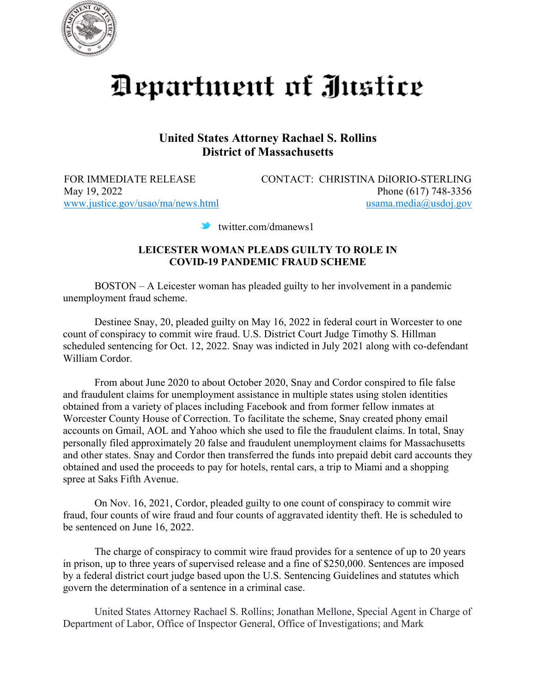

## Department of Justice

## **United States Attorney Rachael S. Rollins District of Massachusetts**

FOR IMMEDIATE RELEASE CONTACT: CHRISTINA DiIORIO-STERLING May 19, 2022 Phone (617) 748-3356 [www.justice.gov/usao/ma/news.html](http://www.justice.gov/usao/ma/news.html) [usama.media@usdoj.gov](mailto:usama.media@usdoj.gov)

twitter.com/dmanews1

## **LEICESTER WOMAN PLEADS GUILTY TO ROLE IN COVID-19 PANDEMIC FRAUD SCHEME**

BOSTON – A Leicester woman has pleaded guilty to her involvement in a pandemic unemployment fraud scheme.

Destinee Snay, 20, pleaded guilty on May 16, 2022 in federal court in Worcester to one count of conspiracy to commit wire fraud. U.S. District Court Judge Timothy S. Hillman scheduled sentencing for Oct. 12, 2022. Snay was indicted in July 2021 along with co-defendant William Cordor.

 From about June 2020 to about October 2020, Snay and Cordor conspired to file false and fraudulent claims for unemployment assistance in multiple states using stolen identities obtained from a variety of places including Facebook and from former fellow inmates at Worcester County House of Correction. To facilitate the scheme, Snay created phony email accounts on Gmail, AOL and Yahoo which she used to file the fraudulent claims. In total, Snay personally filed approximately 20 false and fraudulent unemployment claims for Massachusetts and other states. Snay and Cordor then transferred the funds into prepaid debit card accounts they obtained and used the proceeds to pay for hotels, rental cars, a trip to Miami and a shopping spree at Saks Fifth Avenue.

On Nov. 16, 2021, Cordor, pleaded guilty to one count of conspiracy to commit wire fraud, four counts of wire fraud and four counts of aggravated identity theft. He is scheduled to be sentenced on June 16, 2022.

The charge of conspiracy to commit wire fraud provides for a sentence of up to 20 years in prison, up to three years of supervised release and a fine of \$250,000. Sentences are imposed by a federal district court judge based upon the U.S. Sentencing Guidelines and statutes which govern the determination of a sentence in a criminal case.

United States Attorney Rachael S. Rollins; Jonathan Mellone, Special Agent in Charge of Department of Labor, Office of Inspector General, Office of Investigations; and Mark